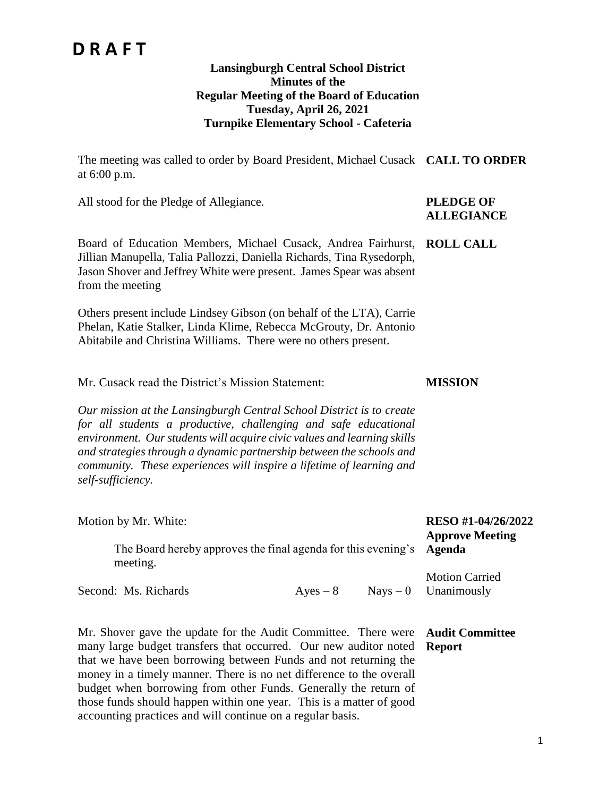#### **Lansingburgh Central School District Minutes of the Regular Meeting of the Board of Education Tuesday, April 26, 2021 Turnpike Elementary School - Cafeteria**

The meeting was called to order by Board President, Michael Cusack **CALL TO ORDER** at 6:00 p.m.

All stood for the Pledge of Allegiance. **PLEDGE OF** 

# **ALLEGIANCE**

**MISSION**

Board of Education Members, Michael Cusack, Andrea Fairhurst, **ROLL CALL** Jillian Manupella, Talia Pallozzi, Daniella Richards, Tina Rysedorph, Jason Shover and Jeffrey White were present. James Spear was absent from the meeting

Others present include Lindsey Gibson (on behalf of the LTA), Carrie Phelan, Katie Stalker, Linda Klime, Rebecca McGrouty, Dr. Antonio Abitabile and Christina Williams. There were no others present.

Mr. Cusack read the District's Mission Statement:

*Our mission at the Lansingburgh Central School District is to create for all students a productive, challenging and safe educational environment. Our students will acquire civic values and learning skills and strategies through a dynamic partnership between the schools and community. These experiences will inspire a lifetime of learning and self-sufficiency.*

| Motion by Mr. White:<br>The Board hereby approves the final agenda for this evening's Agenda<br>meeting. |            | RESO #1-04/26/2022<br><b>Approve Meeting</b>    |
|----------------------------------------------------------------------------------------------------------|------------|-------------------------------------------------|
| Second: Ms. Richards                                                                                     | $Ayes - 8$ | <b>Motion Carried</b><br>$Nays - 0$ Unanimously |

Mr. Shover gave the update for the Audit Committee. There were **Audit Committee**  many large budget transfers that occurred. Our new auditor noted that we have been borrowing between Funds and not returning the money in a timely manner. There is no net difference to the overall budget when borrowing from other Funds. Generally the return of those funds should happen within one year. This is a matter of good accounting practices and will continue on a regular basis. **Report**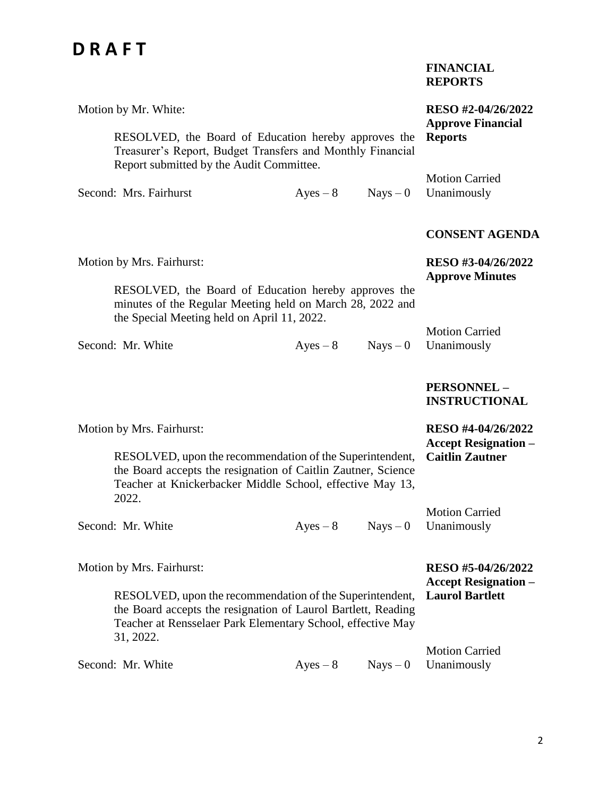| <b>FINANCIAL</b> |
|------------------|
| <b>REPORTS</b>   |

| Motion by Mr. White:                                                                                                                                                                                  |            |            | RESO #2-04/26/2022<br><b>Approve Financial</b>    |
|-------------------------------------------------------------------------------------------------------------------------------------------------------------------------------------------------------|------------|------------|---------------------------------------------------|
| RESOLVED, the Board of Education hereby approves the<br>Treasurer's Report, Budget Transfers and Monthly Financial<br>Report submitted by the Audit Committee.                                        |            |            | <b>Reports</b>                                    |
| Second: Mrs. Fairhurst                                                                                                                                                                                | $Ayes - 8$ | $Nays - 0$ | <b>Motion Carried</b><br>Unanimously              |
|                                                                                                                                                                                                       |            |            | <b>CONSENT AGENDA</b>                             |
| Motion by Mrs. Fairhurst:                                                                                                                                                                             |            |            | RESO #3-04/26/2022<br><b>Approve Minutes</b>      |
| RESOLVED, the Board of Education hereby approves the<br>minutes of the Regular Meeting held on March 28, 2022 and<br>the Special Meeting held on April 11, 2022.                                      |            |            |                                                   |
| Second: Mr. White                                                                                                                                                                                     | $Ayes - 8$ | $Nays - 0$ | <b>Motion Carried</b><br>Unanimously              |
|                                                                                                                                                                                                       |            |            | PERSONNEL-<br><b>INSTRUCTIONAL</b>                |
| Motion by Mrs. Fairhurst:                                                                                                                                                                             |            |            | RESO #4-04/26/2022<br><b>Accept Resignation –</b> |
| RESOLVED, upon the recommendation of the Superintendent,<br>the Board accepts the resignation of Caitlin Zautner, Science<br>Teacher at Knickerbacker Middle School, effective May 13,<br>2022.       |            |            | <b>Caitlin Zautner</b>                            |
| Second: Mr. White                                                                                                                                                                                     | $Ayes - 8$ | $Nays - 0$ | <b>Motion Carried</b><br>Unanimously              |
| Motion by Mrs. Fairhurst:                                                                                                                                                                             |            |            | RESO #5-04/26/2022<br><b>Accept Resignation –</b> |
| RESOLVED, upon the recommendation of the Superintendent,<br>the Board accepts the resignation of Laurol Bartlett, Reading<br>Teacher at Rensselaer Park Elementary School, effective May<br>31, 2022. |            |            | <b>Laurol Bartlett</b>                            |
| Second: Mr. White                                                                                                                                                                                     | $Ayes - 8$ | $Nays - 0$ | <b>Motion Carried</b><br>Unanimously              |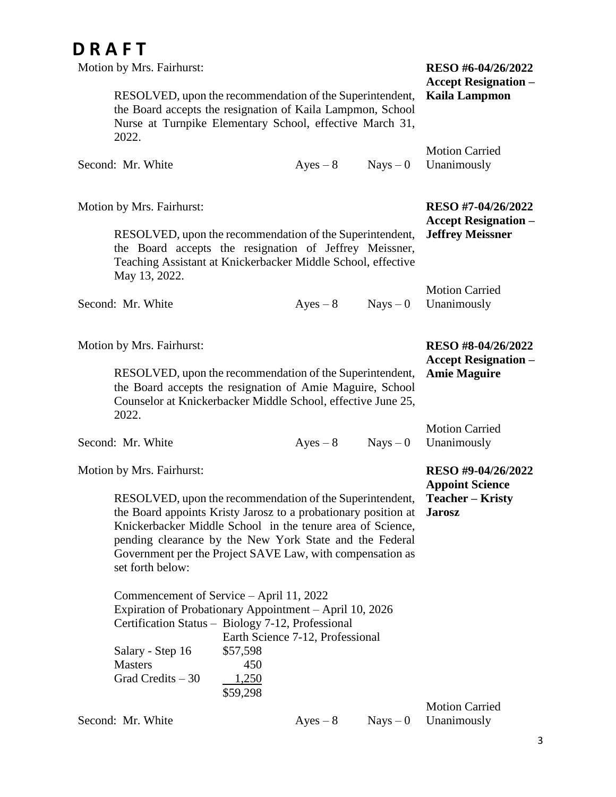| Motion by Mrs. Fairhurst:                                                                                                                                                                                                                                                                                                            |                                             |                                  |            | RESO #6-04/26/2022<br><b>Accept Resignation –</b> |
|--------------------------------------------------------------------------------------------------------------------------------------------------------------------------------------------------------------------------------------------------------------------------------------------------------------------------------------|---------------------------------------------|----------------------------------|------------|---------------------------------------------------|
| RESOLVED, upon the recommendation of the Superintendent,<br>the Board accepts the resignation of Kaila Lampmon, School<br>Nurse at Turnpike Elementary School, effective March 31,<br>2022.                                                                                                                                          |                                             |                                  |            | <b>Kaila Lampmon</b>                              |
| Second: Mr. White                                                                                                                                                                                                                                                                                                                    |                                             | $Ayes - 8$                       | $Nays - 0$ | <b>Motion Carried</b><br>Unanimously              |
|                                                                                                                                                                                                                                                                                                                                      |                                             |                                  |            | RESO #7-04/26/2022                                |
| Motion by Mrs. Fairhurst:                                                                                                                                                                                                                                                                                                            |                                             |                                  |            | <b>Accept Resignation –</b>                       |
| RESOLVED, upon the recommendation of the Superintendent,<br>the Board accepts the resignation of Jeffrey Meissner,<br>Teaching Assistant at Knickerbacker Middle School, effective<br>May 13, 2022.                                                                                                                                  |                                             |                                  |            | <b>Jeffrey Meissner</b>                           |
| Second: Mr. White                                                                                                                                                                                                                                                                                                                    |                                             | $Ayes - 8$                       | $Nays - 0$ | <b>Motion Carried</b><br>Unanimously              |
|                                                                                                                                                                                                                                                                                                                                      |                                             |                                  |            |                                                   |
| Motion by Mrs. Fairhurst:                                                                                                                                                                                                                                                                                                            |                                             |                                  |            | RESO #8-04/26/2022<br><b>Accept Resignation –</b> |
| RESOLVED, upon the recommendation of the Superintendent,<br>the Board accepts the resignation of Amie Maguire, School<br>Counselor at Knickerbacker Middle School, effective June 25,<br>2022.                                                                                                                                       |                                             |                                  |            | <b>Amie Maguire</b>                               |
|                                                                                                                                                                                                                                                                                                                                      |                                             |                                  |            | <b>Motion Carried</b>                             |
| Second: Mr. White                                                                                                                                                                                                                                                                                                                    |                                             | $Ayes - 8$                       | $Nays - 0$ | Unanimously                                       |
| Motion by Mrs. Fairhurst:                                                                                                                                                                                                                                                                                                            |                                             |                                  |            | RESO #9-04/26/2022<br><b>Appoint Science</b>      |
| RESOLVED, upon the recommendation of the Superintendent,<br>the Board appoints Kristy Jarosz to a probationary position at<br>Knickerbacker Middle School in the tenure area of Science,<br>pending clearance by the New York State and the Federal<br>Government per the Project SAVE Law, with compensation as<br>set forth below: |                                             |                                  |            | <b>Teacher – Kristy</b><br><b>Jarosz</b>          |
| Commencement of Service – April 11, 2022<br>Expiration of Probationary Appointment – April 10, 2026<br>Certification Status - Biology 7-12, Professional<br>Salary - Step 16<br><b>Masters</b><br>Grad Credits $-30$                                                                                                                 | \$57,598<br>450<br><u>1,250</u><br>\$59,298 | Earth Science 7-12, Professional |            |                                                   |
| Second: Mr. White                                                                                                                                                                                                                                                                                                                    |                                             | $Ayes - 8$                       | $Nays - 0$ | <b>Motion Carried</b><br>Unanimously              |
|                                                                                                                                                                                                                                                                                                                                      |                                             |                                  |            |                                                   |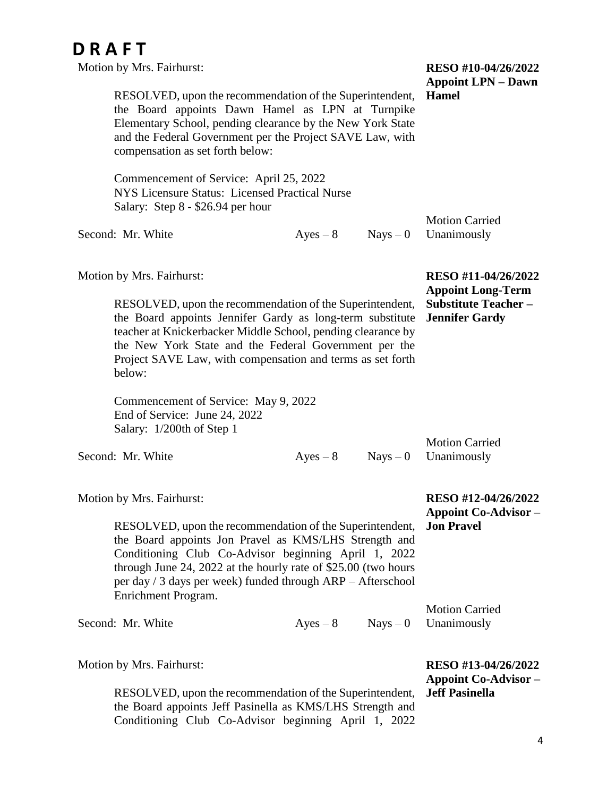| <b>DRAFT</b><br>Motion by Mrs. Fairhurst:                                                                                                                                                                                                                                                                                         |                                           |            | RESO #10-04/26/2022                                                                                    |
|-----------------------------------------------------------------------------------------------------------------------------------------------------------------------------------------------------------------------------------------------------------------------------------------------------------------------------------|-------------------------------------------|------------|--------------------------------------------------------------------------------------------------------|
| RESOLVED, upon the recommendation of the Superintendent,<br>the Board appoints Dawn Hamel as LPN at Turnpike<br>Elementary School, pending clearance by the New York State<br>and the Federal Government per the Project SAVE Law, with<br>compensation as set forth below:                                                       | <b>Appoint LPN – Dawn</b><br><b>Hamel</b> |            |                                                                                                        |
| Commencement of Service: April 25, 2022<br>NYS Licensure Status: Licensed Practical Nurse<br>Salary: Step 8 - \$26.94 per hour                                                                                                                                                                                                    |                                           |            |                                                                                                        |
| Second: Mr. White                                                                                                                                                                                                                                                                                                                 | $Ayes - 8$                                | $Nays - 0$ | <b>Motion Carried</b><br>Unanimously                                                                   |
| Motion by Mrs. Fairhurst:<br>RESOLVED, upon the recommendation of the Superintendent,<br>the Board appoints Jennifer Gardy as long-term substitute<br>teacher at Knickerbacker Middle School, pending clearance by                                                                                                                |                                           |            | RESO #11-04/26/2022<br><b>Appoint Long-Term</b><br><b>Substitute Teacher-</b><br><b>Jennifer Gardy</b> |
| the New York State and the Federal Government per the<br>Project SAVE Law, with compensation and terms as set forth<br>below:                                                                                                                                                                                                     |                                           |            |                                                                                                        |
| Commencement of Service: May 9, 2022<br>End of Service: June 24, 2022<br>Salary: 1/200th of Step 1                                                                                                                                                                                                                                |                                           |            |                                                                                                        |
| Second: Mr. White                                                                                                                                                                                                                                                                                                                 | $Ayes - 8$                                | $Nays - 0$ | <b>Motion Carried</b><br>Unanimously                                                                   |
| Motion by Mrs. Fairhurst:                                                                                                                                                                                                                                                                                                         |                                           |            | RESO #12-04/26/2022<br><b>Appoint Co-Advisor -</b>                                                     |
| RESOLVED, upon the recommendation of the Superintendent,<br>the Board appoints Jon Pravel as KMS/LHS Strength and<br>Conditioning Club Co-Advisor beginning April 1, 2022<br>through June 24, 2022 at the hourly rate of \$25.00 (two hours<br>per day / 3 days per week) funded through ARP - Afterschool<br>Enrichment Program. |                                           |            | <b>Jon Pravel</b>                                                                                      |
| Second: Mr. White                                                                                                                                                                                                                                                                                                                 | $Ayes - 8$                                | $Nays - 0$ | <b>Motion Carried</b><br>Unanimously                                                                   |
| Motion by Mrs. Fairhurst:                                                                                                                                                                                                                                                                                                         |                                           |            | RESO #13-04/26/2022<br><b>Appoint Co-Advisor –</b>                                                     |
| RESOLVED, upon the recommendation of the Superintendent,<br>the Board appoints Jeff Pasinella as KMS/LHS Strength and<br>Conditioning Club Co-Advisor beginning April 1, 2022                                                                                                                                                     |                                           |            | <b>Jeff Pasinella</b>                                                                                  |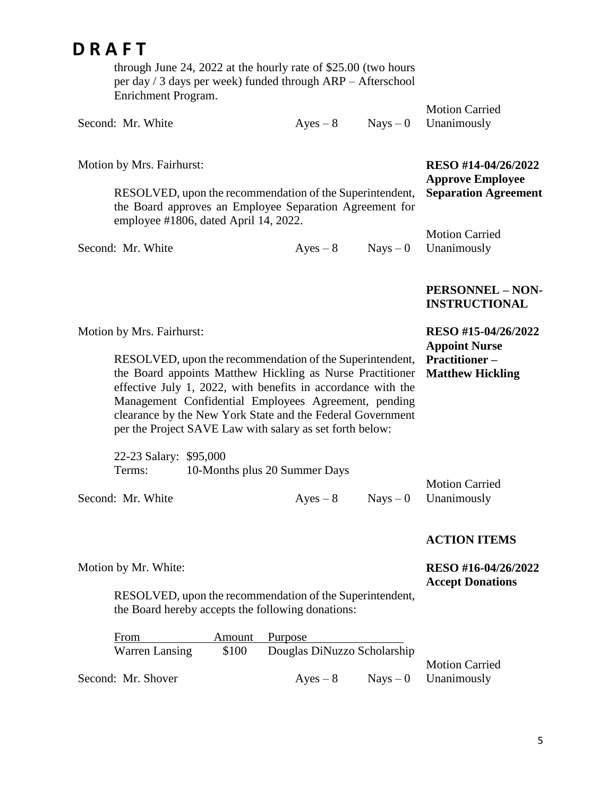through June 24, 2022 at the hourly rate of \$25.00 (two hours per day / 3 days per week) funded through ARP – Afterschool Enrichment Program.

RESOLVED, upon the recommendation of the Superintendent, the Board approves an Employee Separation Agreement for

|                   |  | <b>Motion Carried</b>            |
|-------------------|--|----------------------------------|
| Second: Mr. White |  | $Ayes - 8$ Nays $-0$ Unanimously |

Motion by Mrs. Fairhurst:

**RESO #14-04/26/2022 Approve Employee Separation Agreement**

| employee #1806, dated April 14, 2022. |            |                        |
|---------------------------------------|------------|------------------------|
|                                       |            | <b>Motion Carried</b>  |
| Second: Mr. White                     | $Aves - 8$ | $Nays - 0$ Unanimously |

#### **PERSONNEL – NON-INSTRUCTIONAL**

**RESO #15-04/26/2022**

**Appoint Nurse** 

| <b>Motion by Mrs. Fairhurst:</b> |  |
|----------------------------------|--|
|----------------------------------|--|

Motion by Mr. White:

RESOLVED, upon the recommendation of the Superintendent, the Board appoints Matthew Hickling as Nurse Practitioner effective July 1, 2022, with benefits in accordance with the Management Confidential Employees Agreement, pending clearance by the New York State and the Federal Government per the Project SAVE Law with salary as set forth below: **Practitioner – Matthew Hickling**

| 22-23 Salary: \$95,000 |                               |                       |
|------------------------|-------------------------------|-----------------------|
| Terms:                 | 10-Months plus 20 Summer Days |                       |
|                        |                               | <b>Motion Carried</b> |

Second: Mr. White  $Ayes - 8$  Nays – 0 Unanimously

#### **ACTION ITEMS**

#### **RESO #16-04/26/2022 Accept Donations**

RESOLVED, upon the recommendation of the Superintendent, the Board hereby accepts the following donations:

| From               |                                      | Amount Purpose |  |                        |
|--------------------|--------------------------------------|----------------|--|------------------------|
| Warren Lansing     | \$100<br>Douglas DiNuzzo Scholarship |                |  |                        |
|                    |                                      |                |  | <b>Motion Carried</b>  |
| Second: Mr. Shover |                                      | $Ayes - 8$     |  | $Nays - 0$ Unanimously |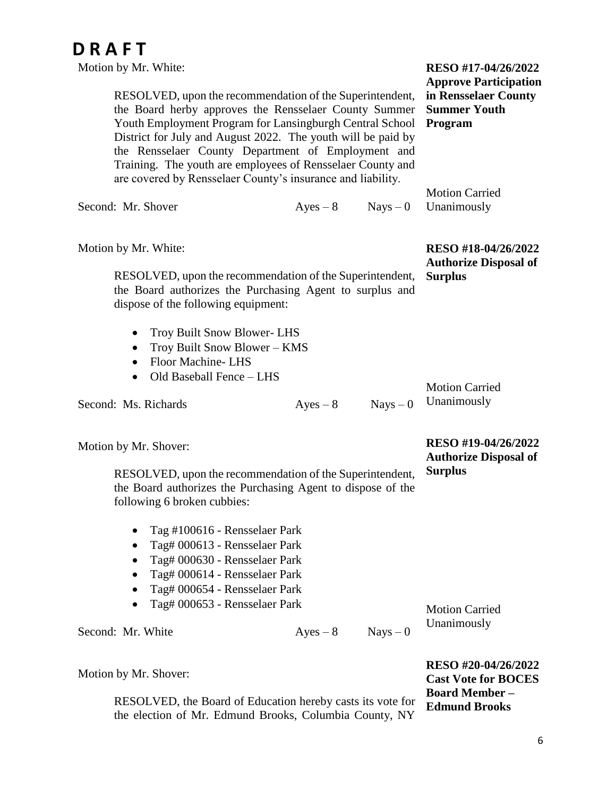Motion by Mr. White: RESOLVED, upon the recommendation of the Superintendent, the Board herby approves the Rensselaer County Summer Youth Employment Program for Lansingburgh Central School District for July and August 2022. The youth will be paid by the Rensselaer County Department of Employment and Training. The youth are employees of Rensselaer County and are covered by Rensselaer County's insurance and liability. Second: Mr. Shover  $Ayes - 8$  Nays – 0 Motion by Mr. White: RESOLVED, upon the recommendation of the Superintendent, the Board authorizes the Purchasing Agent to surplus and dispose of the following equipment: • Troy Built Snow Blower-LHS • Troy Built Snow Blower – KMS • Floor Machine- LHS • Old Baseball Fence – LHS Second: Ms. Richards  $Ayes - 8$  Nays – 0 **RESO #17-04/26/2022 Approve Participation in Rensselaer County Summer Youth Program** Motion Carried Unanimously **RESO #18-04/26/2022 Authorize Disposal of Surplus** Motion Carried Unanimously

Motion by Mr. Shover:

RESOLVED, upon the recommendation of the Superintendent, the Board authorizes the Purchasing Agent to dispose of the following 6 broken cubbies: **Surplus**

- Tag #100616 Rensselaer Park
- Tag# 000613 Rensselaer Park
- Tag# 000630 Rensselaer Park
- Tag# 000614 Rensselaer Park
- Tag# 000654 Rensselaer Park
- Tag# 000653 Rensselaer Park

Second: Mr. White  $Ayes - 8$  Nays – 0

Motion Carried Unanimously

Motion by Mr. Shover:

**RESO #20-04/26/2022 Cast Vote for BOCES Board Member – Edmund Brooks**

**RESO #19-04/26/2022 Authorize Disposal of** 

RESOLVED, the Board of Education hereby casts its vote for the election of Mr. Edmund Brooks, Columbia County, NY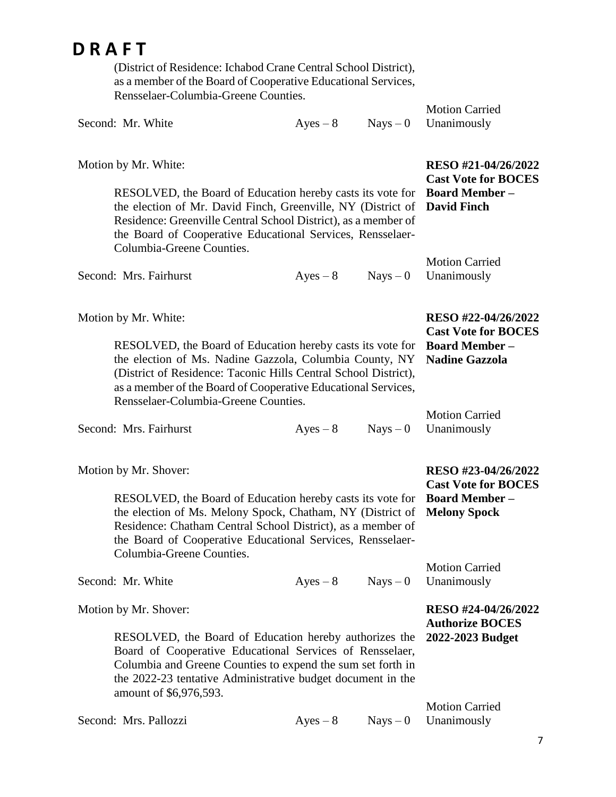(District of Residence: Ichabod Crane Central School District), as a member of the Board of Cooperative Educational Services, Rensselaer-Columbia-Greene Counties.

|                   | as a member of the Board of Cooperative Educational Services,<br>Rensselaer-Columbia-Greene Counties.                                                                                                                                                                                                                     |            |            | <b>Motion Carried</b>                                                                               |
|-------------------|---------------------------------------------------------------------------------------------------------------------------------------------------------------------------------------------------------------------------------------------------------------------------------------------------------------------------|------------|------------|-----------------------------------------------------------------------------------------------------|
| Second: Mr. White |                                                                                                                                                                                                                                                                                                                           | $Ayes - 8$ | $Nays - 0$ | Unanimously                                                                                         |
|                   | Motion by Mr. White:<br>RESOLVED, the Board of Education hereby casts its vote for<br>the election of Mr. David Finch, Greenville, NY (District of<br>Residence: Greenville Central School District), as a member of<br>the Board of Cooperative Educational Services, Rensselaer-<br>Columbia-Greene Counties.           |            |            | RESO #21-04/26/2022<br><b>Cast Vote for BOCES</b><br><b>Board Member -</b><br><b>David Finch</b>    |
|                   | Second: Mrs. Fairhurst                                                                                                                                                                                                                                                                                                    | $Ayes - 8$ | $Nays - 0$ | <b>Motion Carried</b><br>Unanimously                                                                |
|                   | Motion by Mr. White:<br>RESOLVED, the Board of Education hereby casts its vote for<br>the election of Ms. Nadine Gazzola, Columbia County, NY<br>(District of Residence: Taconic Hills Central School District),<br>as a member of the Board of Cooperative Educational Services,<br>Rensselaer-Columbia-Greene Counties. |            |            | RESO #22-04/26/2022<br><b>Cast Vote for BOCES</b><br><b>Board Member -</b><br><b>Nadine Gazzola</b> |
|                   | Second: Mrs. Fairhurst                                                                                                                                                                                                                                                                                                    | $Ayes - 8$ | $Nays - 0$ | <b>Motion Carried</b><br>Unanimously                                                                |
|                   | Motion by Mr. Shover:<br>RESOLVED, the Board of Education hereby casts its vote for<br>the election of Ms. Melony Spock, Chatham, NY (District of<br>Residence: Chatham Central School District), as a member of<br>the Board of Cooperative Educational Services, Rensselaer-<br>Columbia-Greene Counties.               |            |            | RESO #23-04/26/2022<br><b>Cast Vote for BOCES</b><br><b>Board Member -</b><br><b>Melony Spock</b>   |
| Second: Mr. White |                                                                                                                                                                                                                                                                                                                           | $Ayes - 8$ | $Nays - 0$ | <b>Motion Carried</b><br>Unanimously                                                                |
|                   | Motion by Mr. Shover:<br>RESOLVED, the Board of Education hereby authorizes the<br>Board of Cooperative Educational Services of Rensselaer,<br>Columbia and Greene Counties to expend the sum set forth in<br>the 2022-23 tentative Administrative budget document in the<br>amount of \$6,976,593.                       |            |            | RESO #24-04/26/2022<br><b>Authorize BOCES</b><br>2022-2023 Budget<br><b>Motion Carried</b>          |

7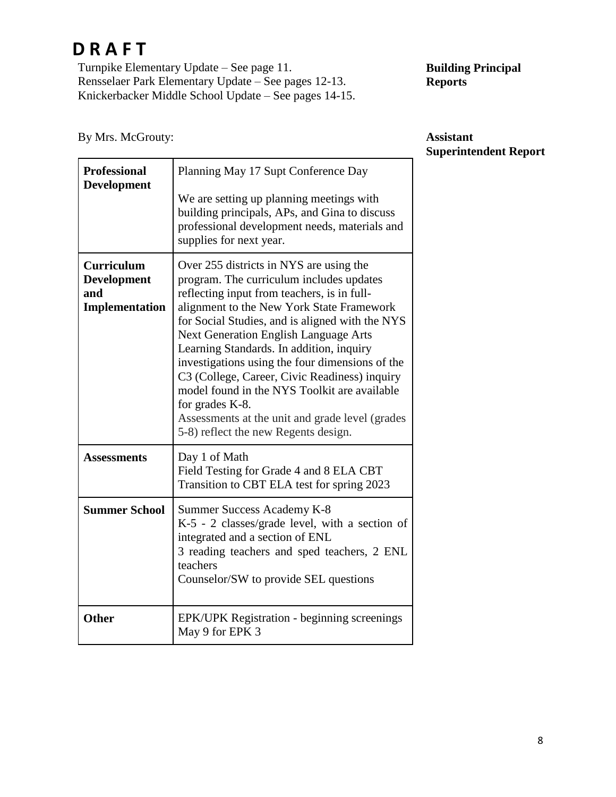Turnpike Elementary Update – See page 11. Rensselaer Park Elementary Update – See pages 12-13. Knickerbacker Middle School Update – See pages 14-15.

#### **Building Principal Reports**

| By MIS. MCGrouty:                                         |                                                                                                                                                                                                                                                                                                                                                                                                                                                                                                                                                                                                  | Assistant<br>Superintendent |
|-----------------------------------------------------------|--------------------------------------------------------------------------------------------------------------------------------------------------------------------------------------------------------------------------------------------------------------------------------------------------------------------------------------------------------------------------------------------------------------------------------------------------------------------------------------------------------------------------------------------------------------------------------------------------|-----------------------------|
| <b>Professional</b><br><b>Development</b>                 | Planning May 17 Supt Conference Day<br>We are setting up planning meetings with<br>building principals, APs, and Gina to discuss<br>professional development needs, materials and<br>supplies for next year.                                                                                                                                                                                                                                                                                                                                                                                     |                             |
| <b>Curriculum</b><br>Development<br>and<br>Implementation | Over 255 districts in NYS are using the<br>program. The curriculum includes updates<br>reflecting input from teachers, is in full-<br>alignment to the New York State Framework<br>for Social Studies, and is aligned with the NYS<br><b>Next Generation English Language Arts</b><br>Learning Standards. In addition, inquiry<br>investigations using the four dimensions of the<br>C3 (College, Career, Civic Readiness) inquiry<br>model found in the NYS Toolkit are available<br>for grades K-8.<br>Assessments at the unit and grade level (grades<br>5-8) reflect the new Regents design. |                             |
| <b>Assessments</b>                                        | Day 1 of Math<br>Field Testing for Grade 4 and 8 ELA CBT<br>Transition to CBT ELA test for spring 2023                                                                                                                                                                                                                                                                                                                                                                                                                                                                                           |                             |
| <b>Summer School</b>                                      | Summer Success Academy K-8<br>$K-5$ - 2 classes/grade level, with a section of<br>integrated and a section of ENL<br>3 reading teachers and sped teachers, 2 ENL<br>teachers<br>Counselor/SW to provide SEL questions                                                                                                                                                                                                                                                                                                                                                                            |                             |
| Other                                                     | EPK/UPK Registration - beginning screenings<br>May 9 for EPK 3                                                                                                                                                                                                                                                                                                                                                                                                                                                                                                                                   |                             |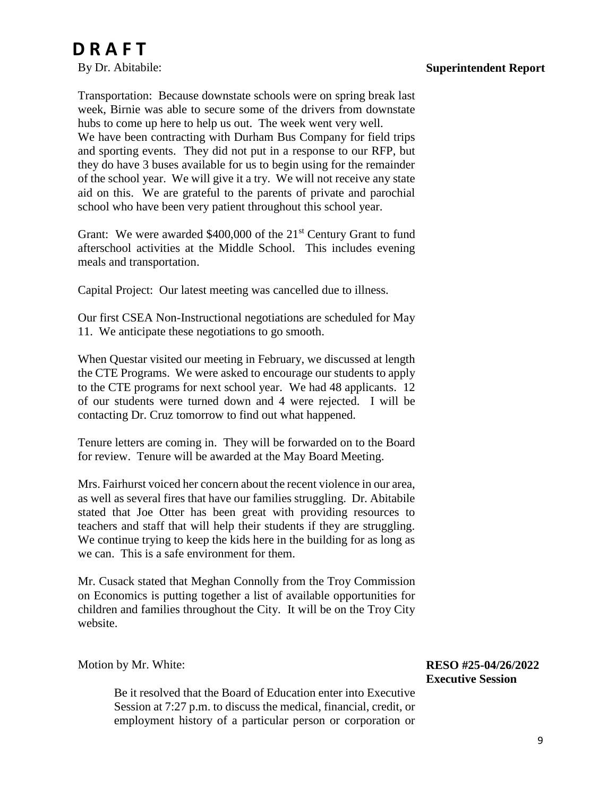By Dr. Abitabile:

Transportation: Because downstate schools were on spring break last week, Birnie was able to secure some of the drivers from downstate hubs to come up here to help us out. The week went very well. We have been contracting with Durham Bus Company for field trips and sporting events. They did not put in a response to our RFP, but they do have 3 buses available for us to begin using for the remainder of the school year. We will give it a try. We will not receive any state aid on this. We are grateful to the parents of private and parochial school who have been very patient throughout this school year.

Grant: We were awarded \$400,000 of the 21<sup>st</sup> Century Grant to fund afterschool activities at the Middle School. This includes evening meals and transportation.

Capital Project: Our latest meeting was cancelled due to illness.

Our first CSEA Non-Instructional negotiations are scheduled for May 11. We anticipate these negotiations to go smooth.

When Questar visited our meeting in February, we discussed at length the CTE Programs. We were asked to encourage our students to apply to the CTE programs for next school year. We had 48 applicants. 12 of our students were turned down and 4 were rejected. I will be contacting Dr. Cruz tomorrow to find out what happened.

Tenure letters are coming in. They will be forwarded on to the Board for review. Tenure will be awarded at the May Board Meeting.

Mrs. Fairhurst voiced her concern about the recent violence in our area, as well as several fires that have our families struggling. Dr. Abitabile stated that Joe Otter has been great with providing resources to teachers and staff that will help their students if they are struggling. We continue trying to keep the kids here in the building for as long as we can. This is a safe environment for them.

Mr. Cusack stated that Meghan Connolly from the Troy Commission on Economics is putting together a list of available opportunities for children and families throughout the City. It will be on the Troy City website.

Motion by Mr. White:

Be it resolved that the Board of Education enter into Executive Session at 7:27 p.m. to discuss the medical, financial, credit, or employment history of a particular person or corporation or

**RESO #25-04/26/2022 Executive Session**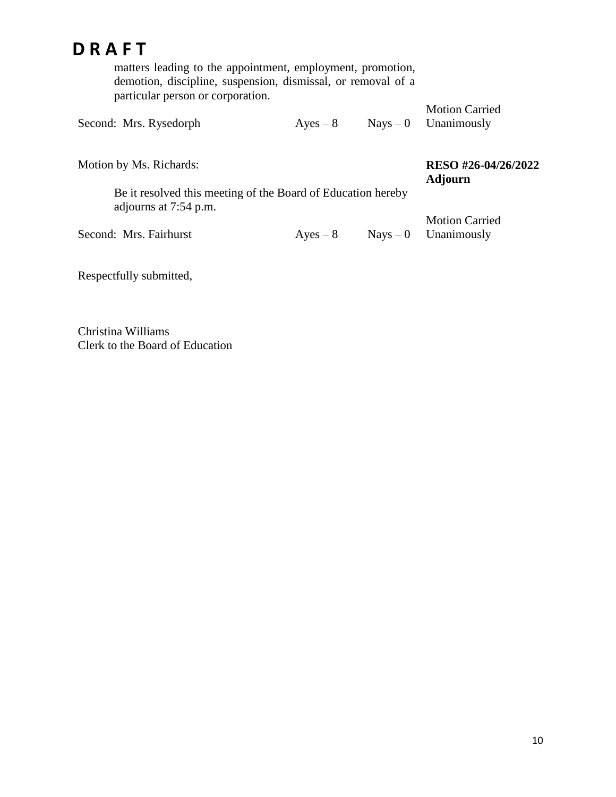matters leading to the appointment, employment, promotion, demotion, discipline, suspension, dismissal, or removal of a particular person or corporation.

|                        |  |            | <b>Motion Carried</b>  |
|------------------------|--|------------|------------------------|
| Second: Mrs. Rysedorph |  | $Ayes - 8$ | $Nays - 0$ Unanimously |

Motion by Ms. Richards:

**RESO #26-04/26/2022 Adjourn**

Be it resolved this meeting of the Board of Education hereby adjourns at 7:54 p.m.

Second: Mrs. Fairhurst  $Ayes - 8$  Nays – 0

Motion Carried Unanimously

Respectfully submitted,

Christina Williams Clerk to the Board of Education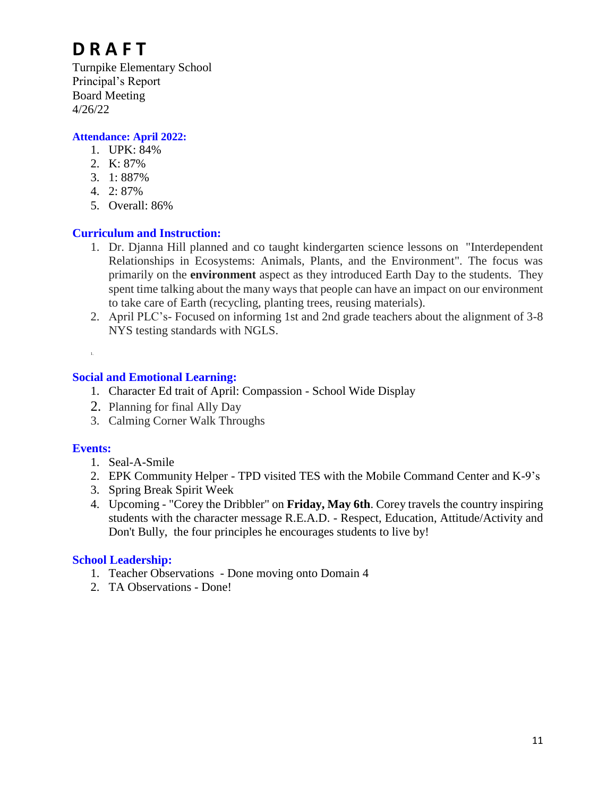Turnpike Elementary School Principal's Report Board Meeting 4/26/22

#### **Attendance: April 2022:**

- 1. UPK: 84%
- 2. K: 87%
- 3. 1: 887%
- 4. 2: 87%
- 5. Overall: 86%

#### **Curriculum and Instruction:**

- 1. Dr. Djanna Hill planned and co taught kindergarten science lessons on "Interdependent Relationships in Ecosystems: Animals, Plants, and the Environment". The focus was primarily on the **environment** aspect as they introduced Earth Day to the students. They spent time talking about the many ways that people can have an impact on our environment to take care of Earth (recycling, planting trees, reusing materials).
- 2. April PLC's- Focused on informing 1st and 2nd grade teachers about the alignment of 3-8 NYS testing standards with NGLS.

1.

#### **Social and Emotional Learning:**

- 1. Character Ed trait of April: Compassion School Wide Display
- 2. Planning for final Ally Day
- 3. Calming Corner Walk Throughs

#### **Events:**

- 1. Seal-A-Smile
- 2. EPK Community Helper TPD visited TES with the Mobile Command Center and K-9's
- 3. Spring Break Spirit Week
- 4. Upcoming "Corey the Dribbler" on **Friday, May 6th**. Corey travels the country inspiring students with the character message R.E.A.D. - Respect, Education, Attitude/Activity and Don't Bully, the four principles he encourages students to live by!

#### **School Leadership:**

- 1. Teacher Observations Done moving onto Domain 4
- 2. TA Observations Done!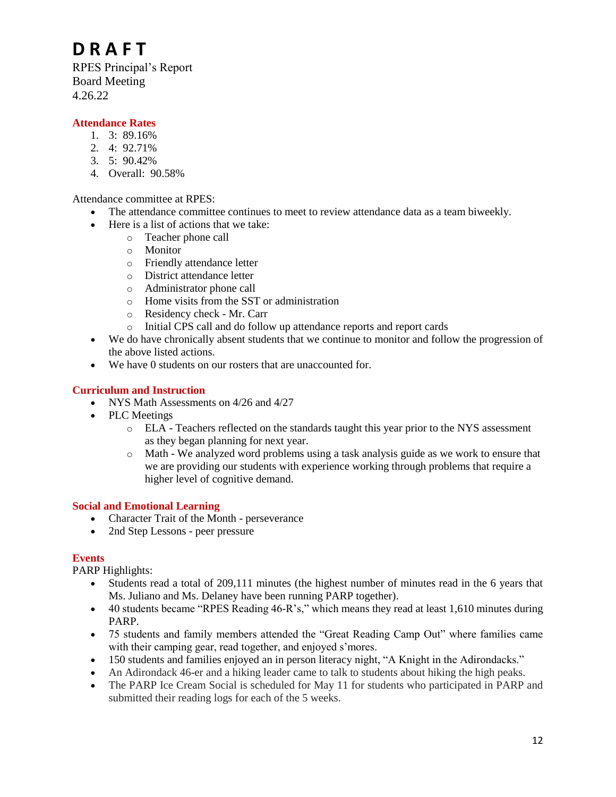RPES Principal's Report Board Meeting 4.26.22

#### **Attendance Rates**

- 1. 3: 89.16%
- 2. 4: 92.71%
- 3. 5: 90.42%
- 4. Overall: 90.58%

Attendance committee at RPES:

- The attendance committee continues to meet to review attendance data as a team biweekly.
- Here is a list of actions that we take:
	- o Teacher phone call
	- o Monitor
	- o Friendly attendance letter
	- o District attendance letter
	- o Administrator phone call
	- o Home visits from the SST or administration
	- o Residency check Mr. Carr
	- o Initial CPS call and do follow up attendance reports and report cards
- We do have chronically absent students that we continue to monitor and follow the progression of the above listed actions.
- We have 0 students on our rosters that are unaccounted for.

#### **Curriculum and Instruction**

- NYS Math Assessments on 4/26 and 4/27
- PLC Meetings
	- o ELA Teachers reflected on the standards taught this year prior to the NYS assessment as they began planning for next year.
	- o Math We analyzed word problems using a task analysis guide as we work to ensure that we are providing our students with experience working through problems that require a higher level of cognitive demand.

#### **Social and Emotional Learning**

- Character Trait of the Month perseverance
- 2nd Step Lessons peer pressure

#### **Events**

PARP Highlights:

- Students read a total of 209,111 minutes (the highest number of minutes read in the 6 years that Ms. Juliano and Ms. Delaney have been running PARP together).
- 40 students became "RPES Reading 46-R's," which means they read at least 1,610 minutes during PARP.
- 75 students and family members attended the "Great Reading Camp Out" where families came with their camping gear, read together, and enjoyed s'mores.
- 150 students and families enjoyed an in person literacy night, "A Knight in the Adirondacks."
- An Adirondack 46-er and a hiking leader came to talk to students about hiking the high peaks.
- The PARP Ice Cream Social is scheduled for May 11 for students who participated in PARP and submitted their reading logs for each of the 5 weeks.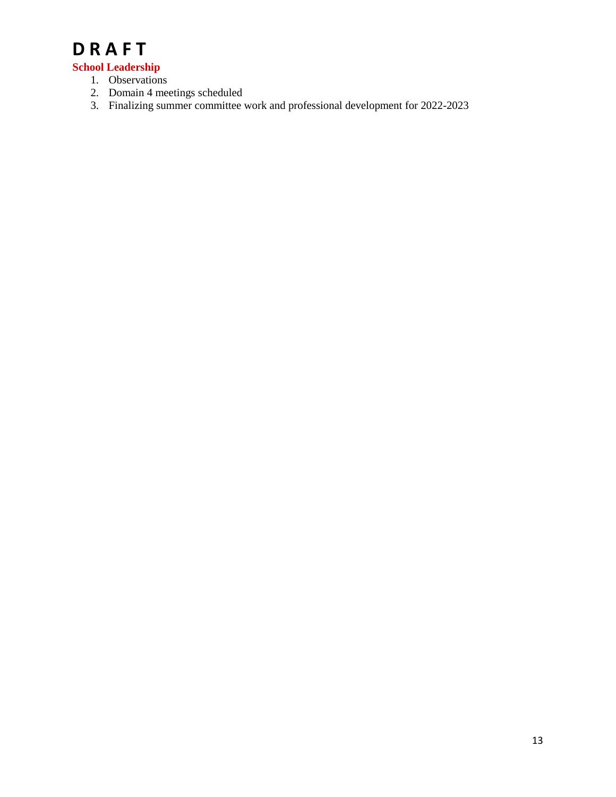#### **School Leadership**

- 1. Observations
- 2. Domain 4 meetings scheduled
- 3. Finalizing summer committee work and professional development for 2022-2023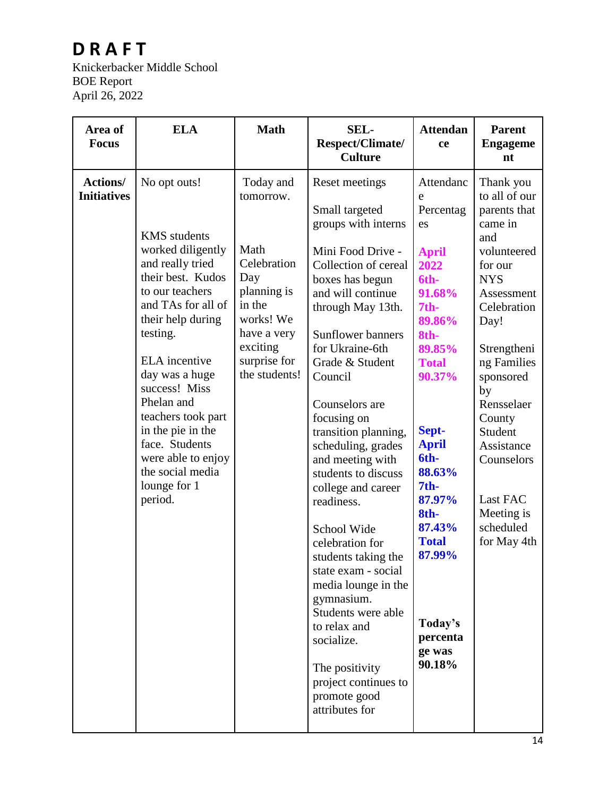Knickerbacker Middle School BOE Report April 26, 2022

| Area of<br><b>Focus</b>               | <b>ELA</b>                                                                                                                                                                                                                                                                                                                                                                             | <b>Math</b>                                                                                                                                            | <b>SEL-</b><br>Respect/Climate/<br><b>Culture</b>                                                                                                                                                                                                                                                                                                                                                                                                                                                                                                                                                                                                                 | <b>Attendan</b><br>ce                                                                                                                                                                                                                                                                                               | <b>Parent</b><br><b>Engageme</b><br>nt                                                                                                                                                                                                                                                                          |
|---------------------------------------|----------------------------------------------------------------------------------------------------------------------------------------------------------------------------------------------------------------------------------------------------------------------------------------------------------------------------------------------------------------------------------------|--------------------------------------------------------------------------------------------------------------------------------------------------------|-------------------------------------------------------------------------------------------------------------------------------------------------------------------------------------------------------------------------------------------------------------------------------------------------------------------------------------------------------------------------------------------------------------------------------------------------------------------------------------------------------------------------------------------------------------------------------------------------------------------------------------------------------------------|---------------------------------------------------------------------------------------------------------------------------------------------------------------------------------------------------------------------------------------------------------------------------------------------------------------------|-----------------------------------------------------------------------------------------------------------------------------------------------------------------------------------------------------------------------------------------------------------------------------------------------------------------|
| <b>Actions/</b><br><b>Initiatives</b> | No opt outs!<br><b>KMS</b> students<br>worked diligently<br>and really tried<br>their best. Kudos<br>to our teachers<br>and TAs for all of<br>their help during<br>testing.<br><b>ELA</b> incentive<br>day was a huge<br>success! Miss<br>Phelan and<br>teachers took part<br>in the pie in the<br>face. Students<br>were able to enjoy<br>the social media<br>lounge for 1<br>period. | Today and<br>tomorrow.<br>Math<br>Celebration<br>Day<br>planning is<br>in the<br>works! We<br>have a very<br>exciting<br>surprise for<br>the students! | Reset meetings<br>Small targeted<br>groups with interns<br>Mini Food Drive -<br>Collection of cereal<br>boxes has begun<br>and will continue<br>through May 13th.<br><b>Sunflower banners</b><br>for Ukraine-6th<br>Grade & Student<br>Council<br>Counselors are<br>focusing on<br>transition planning,<br>scheduling, grades<br>and meeting with<br>students to discuss<br>college and career<br>readiness.<br>School Wide<br>celebration for<br>students taking the<br>state exam - social<br>media lounge in the<br>gymnasium.<br>Students were able<br>to relax and<br>socialize.<br>The positivity<br>project continues to<br>promote good<br>attributes for | Attendanc<br>e<br>Percentag<br>es<br><b>April</b><br>2022<br>6th-<br>91.68%<br>7 <sub>th</sub><br>89.86%<br>8th-<br>89.85%<br><b>Total</b><br>90.37%<br>Sept-<br><b>April</b><br>6th-<br>88.63%<br>7 <sub>th</sub><br>87.97%<br>8th-<br>87.43%<br><b>Total</b><br>87.99%<br>Today's<br>percenta<br>ge was<br>90.18% | Thank you<br>to all of our<br>parents that<br>came in<br>and<br>volunteered<br>for our<br><b>NYS</b><br>Assessment<br>Celebration<br>Day!<br>Strengtheni<br>ng Families<br>sponsored<br>by<br>Rensselaer<br>County<br>Student<br>Assistance<br>Counselors<br>Last FAC<br>Meeting is<br>scheduled<br>for May 4th |